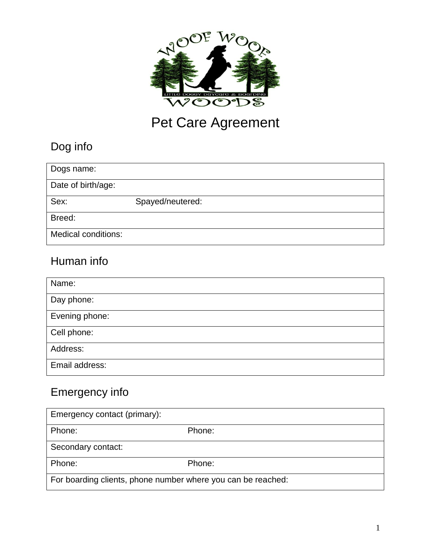

# Pet Care Agreement

# Dog info

| Dogs name:                 |                  |
|----------------------------|------------------|
| Date of birth/age:         |                  |
| Sex:                       | Spayed/neutered: |
| Breed:                     |                  |
| <b>Medical conditions:</b> |                  |

## Human info

| Name:          |
|----------------|
| Day phone:     |
| Evening phone: |
| Cell phone:    |
| Address:       |
| Email address: |

# Emergency info

| Emergency contact (primary):                                 |        |  |
|--------------------------------------------------------------|--------|--|
| Phone:                                                       | Phone: |  |
| Secondary contact:                                           |        |  |
| Phone:                                                       | Phone: |  |
| For boarding clients, phone number where you can be reached: |        |  |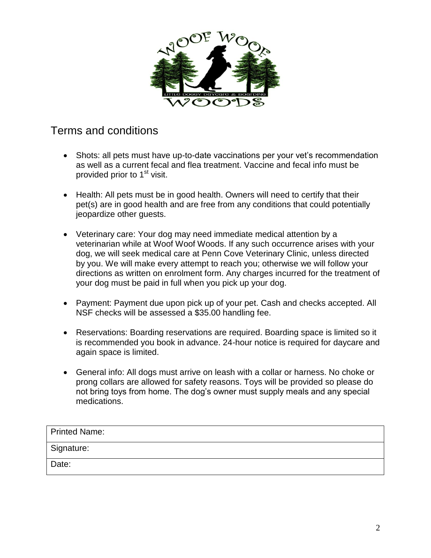

#### Terms and conditions

- Shots: all pets must have up-to-date vaccinations per your vet's recommendation as well as a current fecal and flea treatment. Vaccine and fecal info must be provided prior to 1<sup>st</sup> visit.
- Health: All pets must be in good health. Owners will need to certify that their pet(s) are in good health and are free from any conditions that could potentially jeopardize other guests.
- Veterinary care: Your dog may need immediate medical attention by a veterinarian while at Woof Woof Woods. If any such occurrence arises with your dog, we will seek medical care at Penn Cove Veterinary Clinic, unless directed by you. We will make every attempt to reach you; otherwise we will follow your directions as written on enrolment form. Any charges incurred for the treatment of your dog must be paid in full when you pick up your dog.
- Payment: Payment due upon pick up of your pet. Cash and checks accepted. All NSF checks will be assessed a \$35.00 handling fee.
- Reservations: Boarding reservations are required. Boarding space is limited so it is recommended you book in advance. 24-hour notice is required for daycare and again space is limited.
- General info: All dogs must arrive on leash with a collar or harness. No choke or prong collars are allowed for safety reasons. Toys will be provided so please do not bring toys from home. The dog's owner must supply meals and any special medications.

| Printed Name: |  |
|---------------|--|
| Signature:    |  |
| Date:         |  |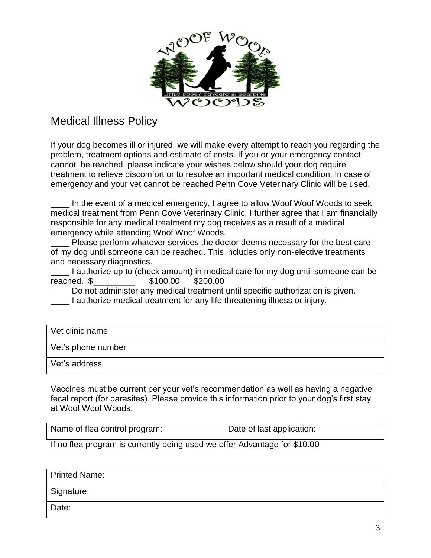

#### Medical Illness Policy

If your dog becomes ill or injured, we will make every attempt to reach you regarding the problem, treatment options and estimate of costs. If you or your emergency contact cannot be reached, please indicate your wishes below should your dog require treatment to relieve discomfort or to resolve an important medical condition. In case of emergency and your vet cannot be reached Penn Cove Veterinary Clinic will be used.

In the event of a medical emergency, I agree to allow Woof Woof Woods to seek medical treatment from Penn Cove Veterinary Clinic. I further agree that I am financially responsible for any medical treatment my dog receives as a result of a medical emergency while attending Woof Woof Woods.

Please perform whatever services the doctor deems necessary for the best care of my dog until someone can be reached. This includes only non-elective treatments and necessary diagnostics.

I authorize up to (check amount) in medical care for my dog until someone can be reached. \$\_\_\_\_\_\_\_\_\_ \$100.00 \$200.00

Do not administer any medical treatment until specific authorization is given. I authorize medical treatment for any life threatening illness or injury.

| l Vet clinic name  |  |
|--------------------|--|
| Vet's phone number |  |
| Vet's address      |  |

Vaccines must be current per your vet's recommendation as well as having a negative fecal report (for parasites). Please provide this information prior to your dog's first stay at Woof Woof Woods.

| Name of flea control program: | Date of last application: |
|-------------------------------|---------------------------|
|                               |                           |

If no flea program is currently being used we offer Advantage for \$10.00

| <b>Printed Name:</b> |  |
|----------------------|--|
| Signature:           |  |
| Date:                |  |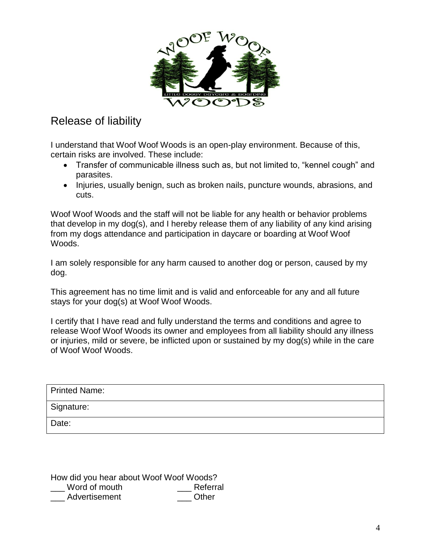

### Release of liability

I understand that Woof Woof Woods is an open-play environment. Because of this, certain risks are involved. These include:

- Transfer of communicable illness such as, but not limited to, "kennel cough" and parasites.
- Injuries, usually benign, such as broken nails, puncture wounds, abrasions, and cuts.

Woof Woof Woods and the staff will not be liable for any health or behavior problems that develop in my dog(s), and I hereby release them of any liability of any kind arising from my dogs attendance and participation in daycare or boarding at Woof Woof Woods.

I am solely responsible for any harm caused to another dog or person, caused by my dog.

This agreement has no time limit and is valid and enforceable for any and all future stays for your dog(s) at Woof Woof Woods.

I certify that I have read and fully understand the terms and conditions and agree to release Woof Woof Woods its owner and employees from all liability should any illness or injuries, mild or severe, be inflicted upon or sustained by my dog(s) while in the care of Woof Woof Woods.

| <b>Printed Name:</b> |  |
|----------------------|--|
| Signature:           |  |
| Date:                |  |

| How did you hear about Woof Woof Woods? |          |  |
|-----------------------------------------|----------|--|
| Word of mouth                           | Referral |  |
| Advertisement                           | Other    |  |